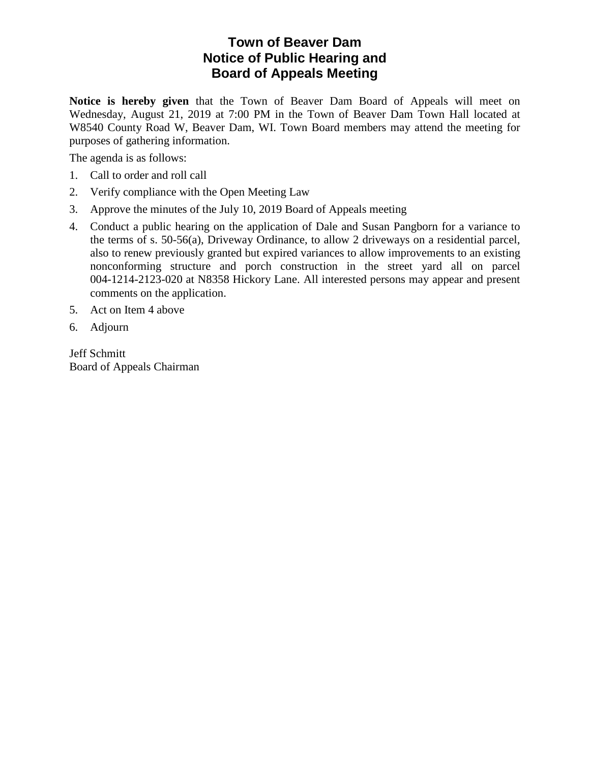## **Town of Beaver Dam Notice of Public Hearing and Board of Appeals Meeting**

**Notice is hereby given** that the Town of Beaver Dam Board of Appeals will meet on Wednesday, August 21, 2019 at 7:00 PM in the Town of Beaver Dam Town Hall located at W8540 County Road W, Beaver Dam, WI. Town Board members may attend the meeting for purposes of gathering information.

The agenda is as follows:

- 1. Call to order and roll call
- 2. Verify compliance with the Open Meeting Law
- 3. Approve the minutes of the July 10, 2019 Board of Appeals meeting
- 4. Conduct a public hearing on the application of Dale and Susan Pangborn for a variance to the terms of s. 50-56(a), Driveway Ordinance, to allow 2 driveways on a residential parcel, also to renew previously granted but expired variances to allow improvements to an existing nonconforming structure and porch construction in the street yard all on parcel 004-1214-2123-020 at N8358 Hickory Lane. All interested persons may appear and present comments on the application.
- 5. Act on Item 4 above
- 6. Adjourn

Jeff Schmitt Board of Appeals Chairman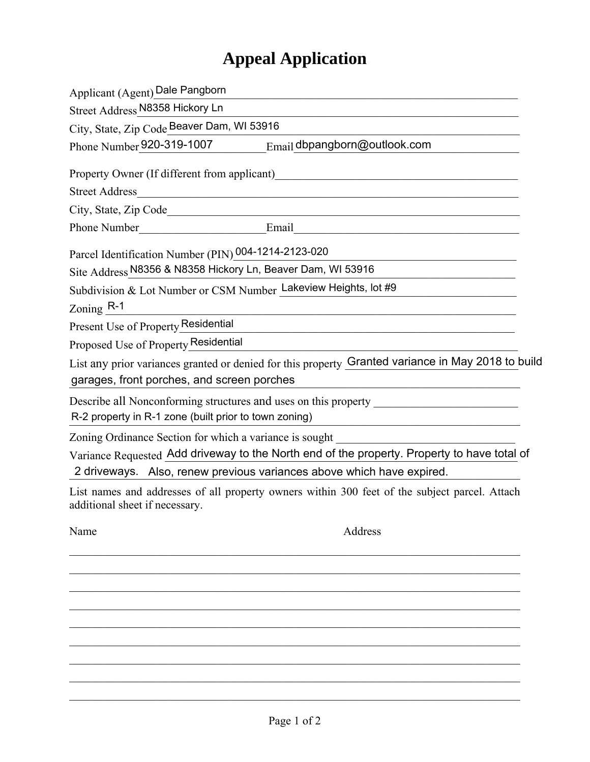# **Appeal Application**

| Applicant (Agent) Dale Pangborn                                                 |                                                                                                                       |
|---------------------------------------------------------------------------------|-----------------------------------------------------------------------------------------------------------------------|
| Street Address N8358 Hickory Ln                                                 |                                                                                                                       |
| City, State, Zip Code Beaver Dam, WI 53916                                      |                                                                                                                       |
| Phone Number 920-319-1007                                                       | Email dbpangborn@outlook.com                                                                                          |
| Property Owner (If different from applicant)                                    | <u> 1980 - John Stein, Amerikaansk politiker (* 1980)</u>                                                             |
|                                                                                 |                                                                                                                       |
|                                                                                 |                                                                                                                       |
|                                                                                 |                                                                                                                       |
| Parcel Identification Number (PIN) 004-1214-2123-020                            |                                                                                                                       |
| Site Address N8356 & N8358 Hickory Ln, Beaver Dam, WI 53916                     |                                                                                                                       |
| Subdivision & Lot Number or CSM Number Lakeview Heights, lot #9<br>Zoning $R-1$ | <u> 1989 - Johann Barn, mars ann an t-Amhain an t-Amhain an t-Amhain an t-Amhain an t-Amhain an t-Amhain an t-Amh</u> |
| Present Use of Property Residential                                             | <u> 1989 - Johann Barbara, martxa alemaniar arg</u>                                                                   |
| Proposed Use of Property Residential                                            |                                                                                                                       |
| garages, front porches, and screen porches                                      | List any prior variances granted or denied for this property Granted variance in May 2018 to build                    |
|                                                                                 | Describe all Nonconforming structures and uses on this property _________________                                     |
| R-2 property in R-1 zone (built prior to town zoning)                           | <u> 1989 - Johann Barbara, martxa alemaniar arg</u>                                                                   |
| Zoning Ordinance Section for which a variance is sought                         |                                                                                                                       |
| 2 driveways. Also, renew previous variances above which have expired.           | Variance Requested Add driveway to the North end of the property. Property to have total of                           |
| additional sheet if necessary.                                                  | List names and addresses of all property owners within 300 feet of the subject parcel. Attach                         |
| Name                                                                            | Address                                                                                                               |
|                                                                                 |                                                                                                                       |
|                                                                                 |                                                                                                                       |
|                                                                                 |                                                                                                                       |
|                                                                                 |                                                                                                                       |

 $\mathcal{L}_\mathcal{L} = \mathcal{L}_\mathcal{L} = \mathcal{L}_\mathcal{L} = \mathcal{L}_\mathcal{L} = \mathcal{L}_\mathcal{L} = \mathcal{L}_\mathcal{L} = \mathcal{L}_\mathcal{L} = \mathcal{L}_\mathcal{L} = \mathcal{L}_\mathcal{L} = \mathcal{L}_\mathcal{L} = \mathcal{L}_\mathcal{L} = \mathcal{L}_\mathcal{L} = \mathcal{L}_\mathcal{L} = \mathcal{L}_\mathcal{L} = \mathcal{L}_\mathcal{L} = \mathcal{L}_\mathcal{L} = \mathcal{L}_\mathcal{L}$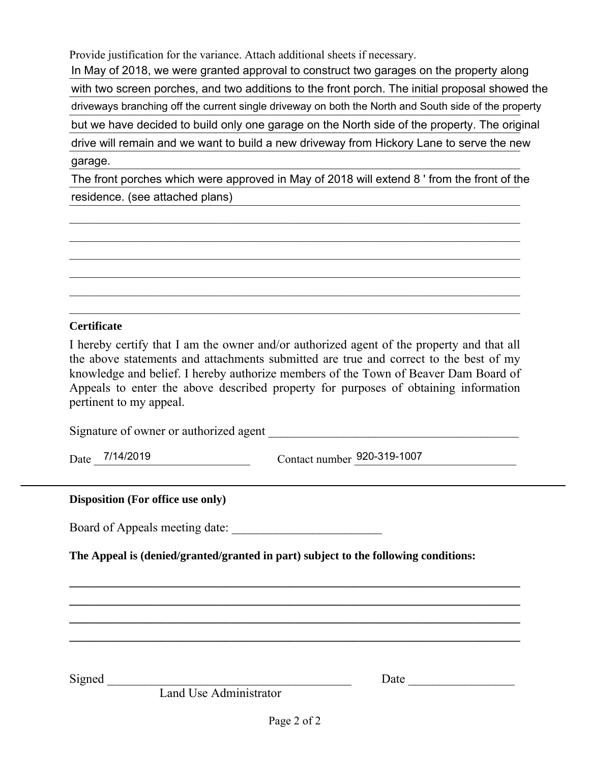Provide justification for the variance. Attach additional sheets if necessary.

In May of 2018, we were granted approval to construct two garages on the property along with two screen porches, and two additions to the front porch. The initial proposal showed the driveways branching off the current single driveway on both the North and South side of the property but we have decided to build only one garage on the North side of the property. The original drive will remain and we want to build a new driveway from Hickory Lane to serve the new garage. garage.

The front porches which were approved in May of 2018 will extend 8 ' from the front of the residence. (see attached plans) and the contract of the contract of the contract of the contract of the contract of the contract of the contract of the contract of the contract of the contract of the contract of the contra

 $\mathcal{L}_\mathcal{L} = \{ \mathcal{L}_\mathcal{L} = \{ \mathcal{L}_\mathcal{L} = \{ \mathcal{L}_\mathcal{L} = \{ \mathcal{L}_\mathcal{L} = \{ \mathcal{L}_\mathcal{L} = \{ \mathcal{L}_\mathcal{L} = \{ \mathcal{L}_\mathcal{L} = \{ \mathcal{L}_\mathcal{L} = \{ \mathcal{L}_\mathcal{L} = \{ \mathcal{L}_\mathcal{L} = \{ \mathcal{L}_\mathcal{L} = \{ \mathcal{L}_\mathcal{L} = \{ \mathcal{L}_\mathcal{L} = \{ \mathcal{L}_\mathcal{$  $\mathcal{L}_\mathcal{L} = \{ \mathcal{L}_\mathcal{L} = \{ \mathcal{L}_\mathcal{L} = \{ \mathcal{L}_\mathcal{L} = \{ \mathcal{L}_\mathcal{L} = \{ \mathcal{L}_\mathcal{L} = \{ \mathcal{L}_\mathcal{L} = \{ \mathcal{L}_\mathcal{L} = \{ \mathcal{L}_\mathcal{L} = \{ \mathcal{L}_\mathcal{L} = \{ \mathcal{L}_\mathcal{L} = \{ \mathcal{L}_\mathcal{L} = \{ \mathcal{L}_\mathcal{L} = \{ \mathcal{L}_\mathcal{L} = \{ \mathcal{L}_\mathcal{$  $\mathcal{L}_\mathcal{L} = \mathcal{L}_\mathcal{L} = \mathcal{L}_\mathcal{L} = \mathcal{L}_\mathcal{L} = \mathcal{L}_\mathcal{L} = \mathcal{L}_\mathcal{L} = \mathcal{L}_\mathcal{L} = \mathcal{L}_\mathcal{L} = \mathcal{L}_\mathcal{L} = \mathcal{L}_\mathcal{L} = \mathcal{L}_\mathcal{L} = \mathcal{L}_\mathcal{L} = \mathcal{L}_\mathcal{L} = \mathcal{L}_\mathcal{L} = \mathcal{L}_\mathcal{L} = \mathcal{L}_\mathcal{L} = \mathcal{L}_\mathcal{L}$  $\mathcal{L}_\mathcal{L} = \mathcal{L}_\mathcal{L} = \mathcal{L}_\mathcal{L} = \mathcal{L}_\mathcal{L} = \mathcal{L}_\mathcal{L} = \mathcal{L}_\mathcal{L} = \mathcal{L}_\mathcal{L} = \mathcal{L}_\mathcal{L} = \mathcal{L}_\mathcal{L} = \mathcal{L}_\mathcal{L} = \mathcal{L}_\mathcal{L} = \mathcal{L}_\mathcal{L} = \mathcal{L}_\mathcal{L} = \mathcal{L}_\mathcal{L} = \mathcal{L}_\mathcal{L} = \mathcal{L}_\mathcal{L} = \mathcal{L}_\mathcal{L}$  $\mathcal{L}_\mathcal{L} = \mathcal{L}_\mathcal{L} = \mathcal{L}_\mathcal{L} = \mathcal{L}_\mathcal{L} = \mathcal{L}_\mathcal{L} = \mathcal{L}_\mathcal{L} = \mathcal{L}_\mathcal{L} = \mathcal{L}_\mathcal{L} = \mathcal{L}_\mathcal{L} = \mathcal{L}_\mathcal{L} = \mathcal{L}_\mathcal{L} = \mathcal{L}_\mathcal{L} = \mathcal{L}_\mathcal{L} = \mathcal{L}_\mathcal{L} = \mathcal{L}_\mathcal{L} = \mathcal{L}_\mathcal{L} = \mathcal{L}_\mathcal{L}$  $\mathcal{L}_\mathcal{L} = \mathcal{L}_\mathcal{L} = \mathcal{L}_\mathcal{L} = \mathcal{L}_\mathcal{L} = \mathcal{L}_\mathcal{L} = \mathcal{L}_\mathcal{L} = \mathcal{L}_\mathcal{L} = \mathcal{L}_\mathcal{L} = \mathcal{L}_\mathcal{L} = \mathcal{L}_\mathcal{L} = \mathcal{L}_\mathcal{L} = \mathcal{L}_\mathcal{L} = \mathcal{L}_\mathcal{L} = \mathcal{L}_\mathcal{L} = \mathcal{L}_\mathcal{L} = \mathcal{L}_\mathcal{L} = \mathcal{L}_\mathcal{L}$ 

### **Certificate**

I hereby certify that I am the owner and/or authorized agent of the property and that all the above statements and attachments submitted are true and correct to the best of my knowledge and belief. I hereby authorize members of the Town of Beaver Dam Board of Appeals to enter the above described property for purposes of obtaining information pertinent to my appeal.

Signature of owner or authorized agent

Date 7/14/2019

Date 7/14/2019 Contact number  $\frac{920-319-1007}{20}$ 

#### **Disposition (For office use only)**

Board of Appeals meeting date:

**The Appeal is (denied/granted/granted in part) subject to the following conditions:** 

Signed \_\_\_\_\_\_\_\_\_\_\_\_\_\_\_\_\_\_\_\_\_\_\_\_\_\_\_\_\_\_\_\_\_\_\_\_\_\_\_ Date \_\_\_\_\_\_\_\_\_\_\_\_\_\_\_\_\_

Land Use Administrator

**\_\_\_\_\_\_\_\_\_\_\_\_\_\_\_\_\_\_\_\_\_\_\_\_\_\_\_\_\_\_\_\_\_\_\_\_\_\_\_\_\_\_\_\_\_\_\_\_\_\_\_\_\_\_\_\_\_\_\_\_\_\_\_\_\_\_\_\_\_\_\_\_\_\_\_\_\_\_ \_\_\_\_\_\_\_\_\_\_\_\_\_\_\_\_\_\_\_\_\_\_\_\_\_\_\_\_\_\_\_\_\_\_\_\_\_\_\_\_\_\_\_\_\_\_\_\_\_\_\_\_\_\_\_\_\_\_\_\_\_\_\_\_\_\_\_\_\_\_\_\_\_\_\_\_\_\_ \_\_\_\_\_\_\_\_\_\_\_\_\_\_\_\_\_\_\_\_\_\_\_\_\_\_\_\_\_\_\_\_\_\_\_\_\_\_\_\_\_\_\_\_\_\_\_\_\_\_\_\_\_\_\_\_\_\_\_\_\_\_\_\_\_\_\_\_\_\_\_\_\_\_\_\_\_\_ \_\_\_\_\_\_\_\_\_\_\_\_\_\_\_\_\_\_\_\_\_\_\_\_\_\_\_\_\_\_\_\_\_\_\_\_\_\_\_\_\_\_\_\_\_\_\_\_\_\_\_\_\_\_\_\_\_\_\_\_\_\_\_\_\_\_\_\_\_\_\_\_\_\_\_\_\_\_**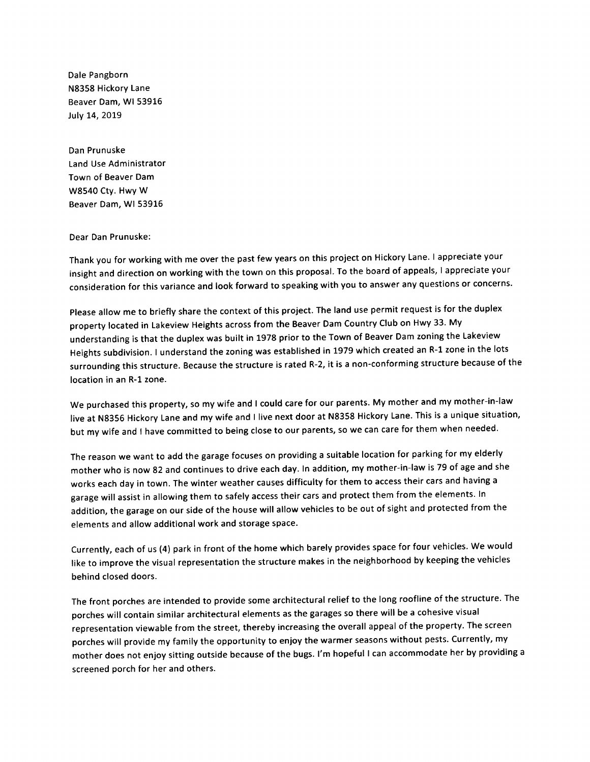Dale Pangborn N8358 Hickory Lane Beaver Dam, WI 53916 July 14, 2019

Dan Prunuske Land Use Administrator Town of Beaver Dam W8540 Cty. Hwy W Beaver Dam, WI 53916

#### Dear Dan Prunuske:

Thank you for working with me over the past few years on this project on Hickory Lane. I appreciate your insight and direction on working with the town on this proposal. To the board of appeals, I appreciate your consideration for this variance and look forward to speaking with you to answer any questions or concerns.

Please allow me to briefly share the context of this project. The land use permit request is for the duplex property located in Lakeview Heights across from the Beaver Dam Country Club on Hwy 33. My understanding is that the duplex was built in 1978 prior to the Town of Beaver Dam zoning the Lakeview Heights subdivision. I understand the zoning was established in 1979 which created an R-1 zone in the lots surrounding this structure. Because the structure is rated R-2, it is a non-conforming structure because of the location in an R-1 zone.

We purchased this property, so my wife and I could care for our parents. My mother and my mother-in-law live at N8356 Hickory Lane and my wife and I live next door at N8358 Hickory Lane. This is a unique situation, but my wife and I have committed to being close to our parents, so we can care for them when needed.

The reason we want to add the garage focuses on providing a suitable location for parking for my elderly mother who is now 82 and continues to drive each day. In addition, my mother-in-law is 79 of age and she works each day in town. The winter weather causes difficulty for them to access their cars and having a garage will assist in allowing them to safely access their cars and protect them from the elements. In addition, the garage on our side of the house will allow vehicles to be out of sight and protected from the elements and allow additional work and storage space.

Currently, each of us (4) park in front of the home which barely provides space for four vehicles. We would like to improve the visual representation the structure makes in the neighborhood by keeping the vehicles behind closed doors.

The front porches are intended to provide some architectural relief to the long roofline of the structure. The porches will contain similar architectural elements as the garages so there will be a cohesive visual representation viewable from the street, thereby increasing the overall appeal of the property. The screen porches will provide my family the opportunity to enjoy the warmer seasons without pests. Currently, my mother does not enjoy sitting outside because of the bugs. I'm hopeful I can accommodate her by providing a screened porch for her and others.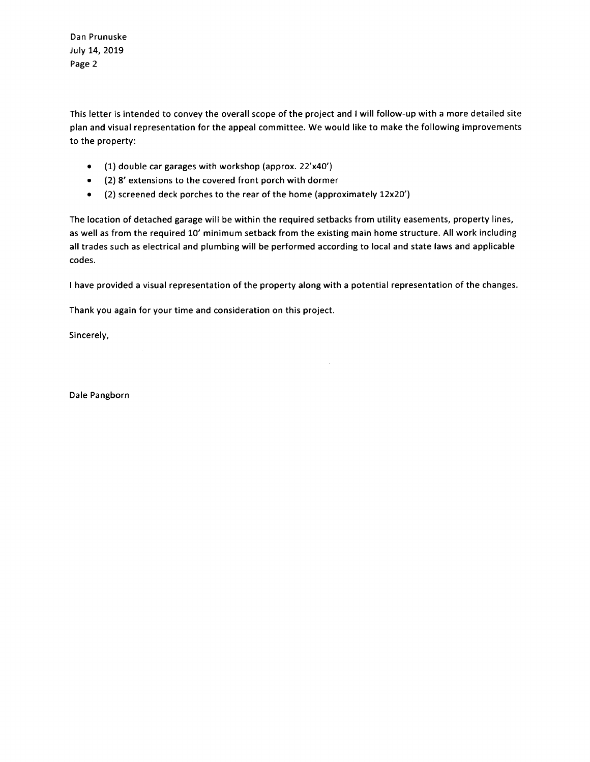Dan Prunuske July 14, 2019 Page 2

This letter is intended to convey the overall scope of the project and I will follow-up with a more detailed site plan and visual representation for the appeal committee. We would like to make the following improvements to the property:

- (1) double car garages with workshop (approx. 22'x40')
- (2) 8' extensions to the covered front porch with dormer
- (2) screened deck porches to the rear of the home (approximately 12x20')

The location of detached garage will be within the required setbacks from utility easements, property lines, as well as from the required 10' minimum setback from the existing main home structure. All work including all trades such as electrical and plumbing will be performed according to local and state laws and applicable codes.

I have provided a visual representation of the property along with a potential representation of the changes.

Thank you again for your time and consideration on this project.

Sincerely,

Dale Pangborn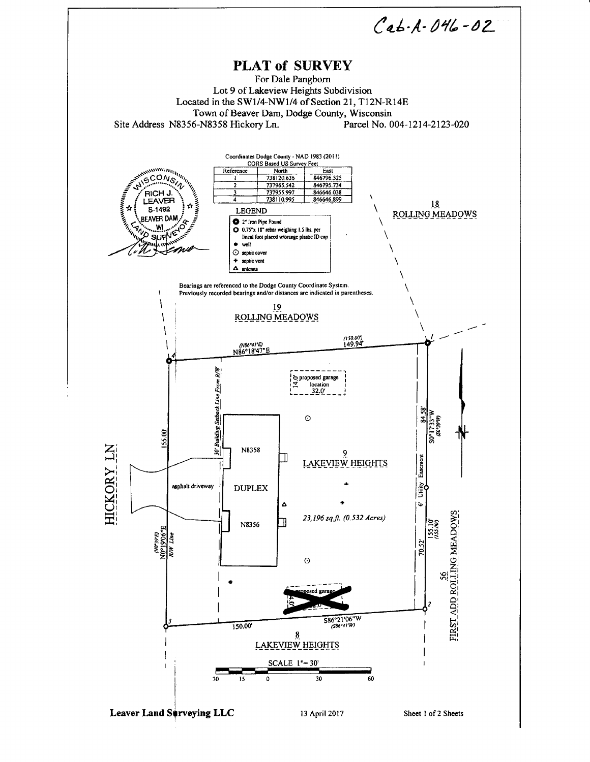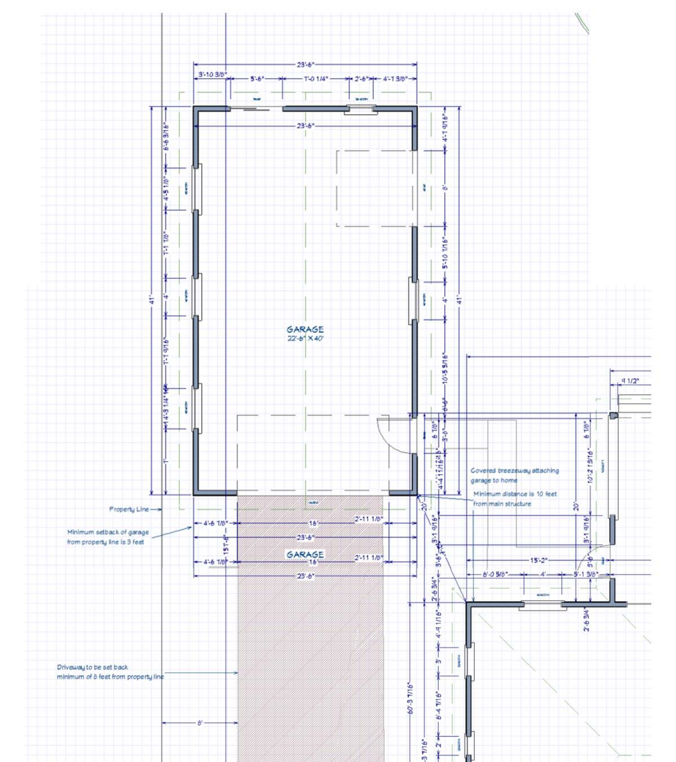